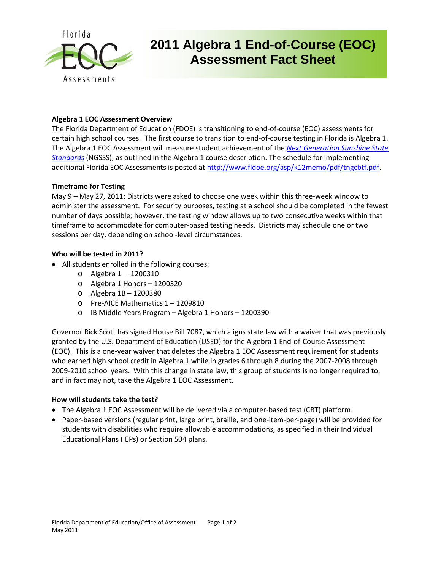

## **2011 Algebra 1 End-of-Course (EOC) Assessment Fact Sheet**

### **Algebra 1 EOC Assessment Overview**

The Florida Department of Education (FDOE) is transitioning to end-of-course (EOC) assessments for certain high school courses. The first course to transition to end-of-course testing in Florida is Algebra 1. The Algebra 1 EOC Assessment will measure student achievement of the *[Next Generation Sunshine State](http://www.floridastandards.org/index.aspx)  [Standards](http://www.floridastandards.org/index.aspx)* (NGSSS), as outlined in the Algebra 1 course description. The schedule for implementing additional Florida EOC Assessments is posted at [http://www.fldoe.org/asp/k12memo/pdf/tngcbtf.pdf.](http://www.fldoe.org/asp/k12memo/pdf/tngcbtf.pdf)

#### **Timeframe for Testing**

May 9 – May 27, 2011: Districts were asked to choose one week within this three-week window to administer the assessment. For security purposes, testing at a school should be completed in the fewest number of days possible; however, the testing window allows up to two consecutive weeks within that timeframe to accommodate for computer-based testing needs. Districts may schedule one or two sessions per day, depending on school-level circumstances.

### **Who will be tested in 2011?**

- All students enrolled in the following courses:
	- o Algebra 1 1200310
	- o Algebra 1 Honors 1200320
	- o Algebra 1B 1200380
	- o Pre-AICE Mathematics 1 1209810
	- o IB Middle Years Program Algebra 1 Honors 1200390

Governor Rick Scott has signed House Bill 7087, which aligns state law with a waiver that was previously granted by the U.S. Department of Education (USED) for the Algebra 1 End-of-Course Assessment (EOC). This is a one-year waiver that deletes the Algebra 1 EOC Assessment requirement for students who earned high school credit in Algebra 1 while in grades 6 through 8 during the 2007-2008 through 2009-2010 school years. With this change in state law, this group of students is no longer required to, and in fact may not, take the Algebra 1 EOC Assessment.

### **How will students take the test?**

- The Algebra 1 EOC Assessment will be delivered via a computer-based test (CBT) platform.
- Paper-based versions (regular print, large print, braille, and one-item-per-page) will be provided for students with disabilities who require allowable accommodations, as specified in their Individual Educational Plans (IEPs) or Section 504 plans.